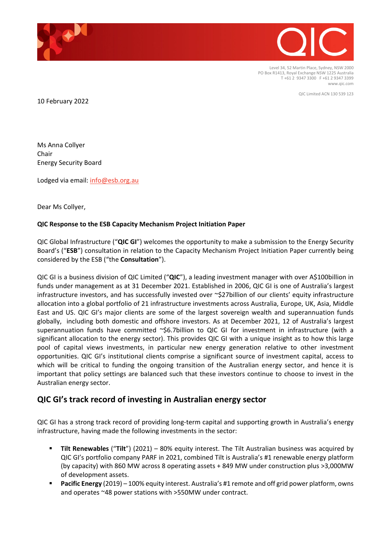

Level 34, 52 Martin Place, Sydney, NSW 2000 PO Box R1413, Royal Exchange NSW 1225 Australia T +61 2 9347 3300 F +61 2 9347 3399 www.qic.com

QIC Limited ACN 130 539 123

10 February 2022

Ms Anna Collyer Chair Energy Security Board

Lodged via email: [info@esb.org.au](mailto:info@esb.org.au)

Dear Ms Collyer,

#### **QIC Response to the ESB Capacity Mechanism Project Initiation Paper**

QIC Global Infrastructure ("**QIC GI**") welcomes the opportunity to make a submission to the Energy Security Board's ("**ESB**") consultation in relation to the Capacity Mechanism Project Initiation Paper currently being considered by the ESB ("the **Consultation**").

QIC GI is a business division of QIC Limited ("**QIC**"), a leading investment manager with over A\$100billion in funds under management as at 31 December 2021. Established in 2006, QIC GI is one of Australia's largest infrastructure investors, and has successfully invested over ~\$27billion of our clients' equity infrastructure allocation into a global portfolio of 21 infrastructure investments across Australia, Europe, UK, Asia, Middle East and US. QIC GI's major clients are some of the largest sovereign wealth and superannuation funds globally, including both domestic and offshore investors. As at December 2021, 12 of Australia's largest superannuation funds have committed ~\$6.7billion to QIC GI for investment in infrastructure (with a significant allocation to the energy sector). This provides QIC GI with a unique insight as to how this large pool of capital views investments, in particular new energy generation relative to other investment opportunities. QIC GI's institutional clients comprise a significant source of investment capital, access to which will be critical to funding the ongoing transition of the Australian energy sector, and hence it is important that policy settings are balanced such that these investors continue to choose to invest in the Australian energy sector.

# **QIC GI's track record of investing in Australian energy sector**

QIC GI has a strong track record of providing long-term capital and supporting growth in Australia's energy infrastructure, having made the following investments in the sector:

- **Tilt Renewables** ("**Tilt**") (2021) 80% equity interest. The Tilt Australian business was acquired by QIC GI's portfolio company PARF in 2021, combined Tilt is Australia's #1 renewable energy platform (by capacity) with 860 MW across 8 operating assets + 849 MW under construction plus >3,000MW of development assets.
- **Pacific Energy** (2019) 100% equity interest. Australia's #1 remote and off grid power platform, owns and operates ~48 power stations with >550MW under contract.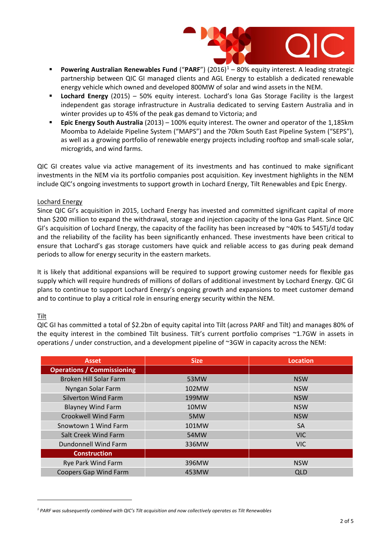

- **Powering Australian Renewables Fund** ("**PARF**") (2016)[1](#page-1-0) 80% equity interest. A leading strategic partnership between QIC GI managed clients and AGL Energy to establish a dedicated renewable energy vehicle which owned and developed 800MW of solar and wind assets in the NEM.
- **Lochard Energy** (2015) 50% equity interest. Lochard's Iona Gas Storage Facility is the largest independent gas storage infrastructure in Australia dedicated to serving Eastern Australia and in winter provides up to 45% of the peak gas demand to Victoria; and
- **Epic Energy South Australia** (2013) 100% equity interest. The owner and operator of the 1,185km Moomba to Adelaide Pipeline System ("MAPS") and the 70km South East Pipeline System ("SEPS"), as well as a growing portfolio of renewable energy projects including rooftop and small-scale solar, microgrids, and wind farms.

QIC GI creates value via active management of its investments and has continued to make significant investments in the NEM via its portfolio companies post acquisition. Key investment highlights in the NEM include QIC's ongoing investments to support growth in Lochard Energy, Tilt Renewables and Epic Energy.

### Lochard Energy

Since QIC GI's acquisition in 2015, Lochard Energy has invested and committed significant capital of more than \$200 million to expand the withdrawal, storage and injection capacity of the Iona Gas Plant. Since QIC GI's acquisition of Lochard Energy, the capacity of the facility has been increased by ~40% to 545Tj/d today and the reliability of the facility has been significantly enhanced. These investments have been critical to ensure that Lochard's gas storage customers have quick and reliable access to gas during peak demand periods to allow for energy security in the eastern markets.

It is likely that additional expansions will be required to support growing customer needs for flexible gas supply which will require hundreds of millions of dollars of additional investment by Lochard Energy. QIC GI plans to continue to support Lochard Energy's ongoing growth and expansions to meet customer demand and to continue to play a critical role in ensuring energy security within the NEM.

#### Tilt

QIC GI has committed a total of \$2.2bn of equity capital into Tilt (across PARF and Tilt) and manages 80% of the equity interest in the combined Tilt business. Tilt's current portfolio comprises ~1.7GW in assets in operations / under construction, and a development pipeline of ~3GW in capacity across the NEM:

| <b>Asset</b>                      | <b>Size</b> | <b>Location</b> |
|-----------------------------------|-------------|-----------------|
| <b>Operations / Commissioning</b> |             |                 |
| <b>Broken Hill Solar Farm</b>     | 53MW        | <b>NSW</b>      |
| Nyngan Solar Farm                 | 102MW       | <b>NSW</b>      |
| <b>Silverton Wind Farm</b>        | 199MW       | <b>NSW</b>      |
| <b>Blayney Wind Farm</b>          | 10MW        | <b>NSW</b>      |
| <b>Crookwell Wind Farm</b>        | 5MW         | <b>NSW</b>      |
| Snowtown 1 Wind Farm              | 101MW       | <b>SA</b>       |
| Salt Creek Wind Farm              | 54MW        | <b>VIC</b>      |
| Dundonnell Wind Farm              | 336MW       | <b>VIC</b>      |
| <b>Construction</b>               |             |                 |
| Rye Park Wind Farm                | 396MW       | <b>NSW</b>      |
| <b>Coopers Gap Wind Farm</b>      | 453MW       | QLD             |

<span id="page-1-0"></span>*<sup>1</sup> PARF was subsequently combined with QIC's Tilt acquisition and now collectively operates as Tilt Renewables*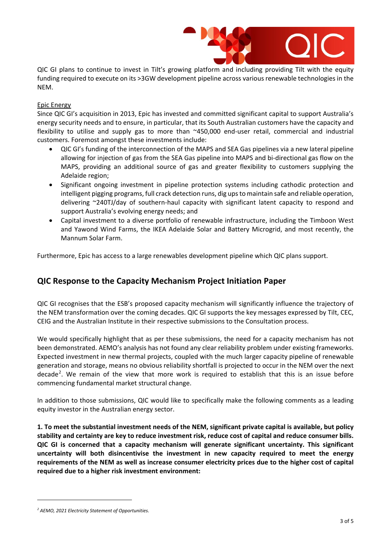

QIC GI plans to continue to invest in Tilt's growing platform and including providing Tilt with the equity funding required to execute on its >3GW development pipeline across various renewable technologies in the NEM.

## Epic Energy

Since QIC GI's acquisition in 2013, Epic has invested and committed significant capital to support Australia's energy security needs and to ensure, in particular, that its South Australian customers have the capacity and flexibility to utilise and supply gas to more than ~450,000 end-user retail, commercial and industrial customers. Foremost amongst these investments include:

- QIC GI's funding of the interconnection of the MAPS and SEA Gas pipelines via a new lateral pipeline allowing for injection of gas from the SEA Gas pipeline into MAPS and bi-directional gas flow on the MAPS, providing an additional source of gas and greater flexibility to customers supplying the Adelaide region;
- Significant ongoing investment in pipeline protection systems including cathodic protection and intelligent pigging programs, full crack detection runs, dig ups to maintain safe and reliable operation, delivering ~240TJ/day of southern-haul capacity with significant latent capacity to respond and support Australia's evolving energy needs; and
- Capital investment to a diverse portfolio of renewable infrastructure, including the Timboon West and Yawond Wind Farms, the IKEA Adelaide Solar and Battery Microgrid, and most recently, the Mannum Solar Farm.

Furthermore, Epic has access to a large renewables development pipeline which QIC plans support.

# **QIC Response to the Capacity Mechanism Project Initiation Paper**

QIC GI recognises that the ESB's proposed capacity mechanism will significantly influence the trajectory of the NEM transformation over the coming decades. QIC GI supports the key messages expressed by Tilt, CEC, CEIG and the Australian Institute in their respective submissions to the Consultation process.

We would specifically highlight that as per these submissions, the need for a capacity mechanism has not been demonstrated. AEMO's analysis has not found any clear reliability problem under existing frameworks. Expected investment in new thermal projects, coupled with the much larger capacity pipeline of renewable generation and storage, means no obvious reliability shortfall is projected to occur in the NEM over the next decade<sup>[2](#page-2-0)</sup>. We remain of the view that more work is required to establish that this is an issue before commencing fundamental market structural change.

In addition to those submissions, QIC would like to specifically make the following comments as a leading equity investor in the Australian energy sector.

**1. To meet the substantial investment needs of the NEM, significant private capital is available, but policy stability and certainty are key to reduce investment risk, reduce cost of capital and reduce consumer bills. QIC GI is concerned that a capacity mechanism will generate significant uncertainty. This significant uncertainty will both disincentivise the investment in new capacity required to meet the energy requirements of the NEM as well as increase consumer electricity prices due to the higher cost of capital required due to a higher risk investment environment:**

<span id="page-2-0"></span>*<sup>2</sup> AEMO, 2021 Electricity Statement of Opportunities.*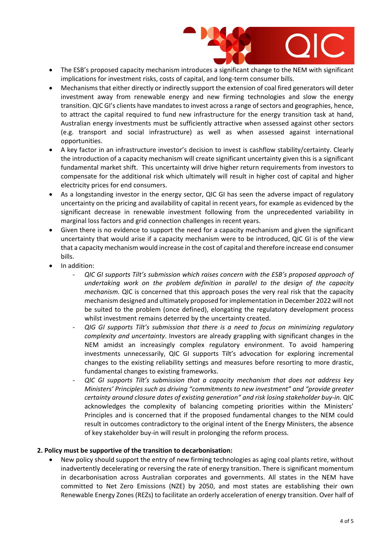

- The ESB's proposed capacity mechanism introduces a significant change to the NEM with significant implications for investment risks, costs of capital, and long-term consumer bills.
- Mechanisms that either directly or indirectly support the extension of coal fired generators will deter investment away from renewable energy and new firming technologies and slow the energy transition. QIC GI's clients have mandates to invest across a range of sectors and geographies, hence, to attract the capital required to fund new infrastructure for the energy transition task at hand, Australian energy investments must be sufficiently attractive when assessed against other sectors (e.g. transport and social infrastructure) as well as when assessed against international opportunities.
- A key factor in an infrastructure investor's decision to invest is cashflow stability/certainty. Clearly the introduction of a capacity mechanism will create significant uncertainty given this is a significant fundamental market shift. This uncertainty will drive higher return requirements from investors to compensate for the additional risk which ultimately will result in higher cost of capital and higher electricity prices for end consumers.
- As a longstanding investor in the energy sector, QIC GI has seen the adverse impact of regulatory uncertainty on the pricing and availability of capital in recent years, for example as evidenced by the significant decrease in renewable investment following from the unprecedented variability in marginal loss factors and grid connection challenges in recent years.
- Given there is no evidence to support the need for a capacity mechanism and given the significant uncertainty that would arise if a capacity mechanism were to be introduced, QIC GI is of the view that a capacity mechanism would increase in the cost of capital and therefore increase end consumer bills.
- In addition:
	- *- QIC GI supports Tilt's submission which raises concern with the ESB's proposed approach of undertaking work on the problem definition in parallel to the design of the capacity mechanism.* QIC is concerned that this approach poses the very real risk that the capacity mechanism designed and ultimately proposed for implementation in December 2022 will not be suited to the problem (once defined), elongating the regulatory development process whilst investment remains deterred by the uncertainty created.
	- *- QIG GI supports Tilt's submission that there is a need to focus on minimizing regulatory complexity and uncertainty*. Investors are already grappling with significant changes in the NEM amidst an increasingly complex regulatory environment. To avoid hampering investments unnecessarily, QIC GI supports Tilt's advocation for exploring incremental changes to the existing reliability settings and measures before resorting to more drastic, fundamental changes to existing frameworks.
	- *- QIC GI supports Tilt's submission that a capacity mechanism that does not address key Ministers' Principles such as driving "commitments to new investment" and "provide greater certainty around closure dates of existing generation" and risk losing stakeholder buy-in.* QIC acknowledges the complexity of balancing competing priorities within the Ministers' Principles and is concerned that if the proposed fundamental changes to the NEM could result in outcomes contradictory to the original intent of the Energy Ministers, the absence of key stakeholder buy-in will result in prolonging the reform process.

#### **2. Policy must be supportive of the transition to decarbonisation:**

• New policy should support the entry of new firming technologies as aging coal plants retire, without inadvertently decelerating or reversing the rate of energy transition. There is significant momentum in decarbonisation across Australian corporates and governments. All states in the NEM have committed to Net Zero Emissions (NZE) by 2050, and most states are establishing their own Renewable Energy Zones (REZs) to facilitate an orderly acceleration of energy transition. Over half of